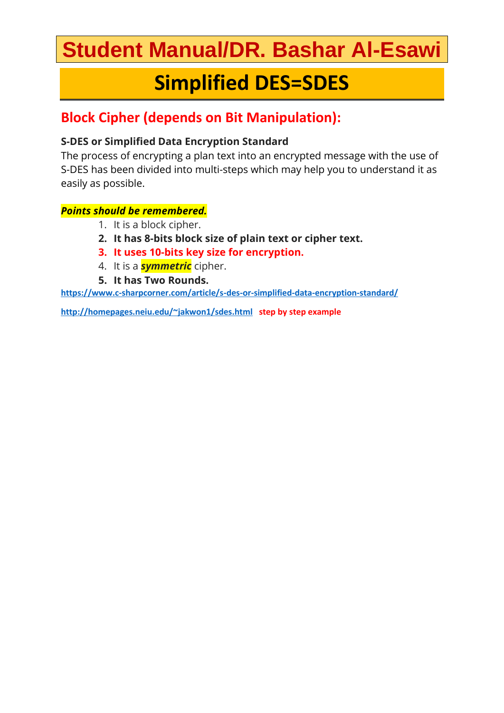# **Student Manual/DR. Bashar Al-Esawi**

## **Simplified DES=SDES**

### **Block Cipher (depends on Bit Manipulation):**

### **S-DES or Simplified Data Encryption Standard**

The process of encrypting a plan text into an encrypted message with the use of S-DES has been divided into multi-steps which may help you to understand it as easily as possible.

### *Points should be remembered.*

- 1. It is a block cipher.
- **2. It has 8-bits block size of plain text or cipher text.**
- **3. It uses 10-bits key size for encryption.**
- 4. It is a *symmetric* cipher.
- **5. It has Two Rounds.**

**<https://www.c-sharpcorner.com/article/s-des-or-simplified-data-encryption-standard/>**

**<http://homepages.neiu.edu/~jakwon1/sdes.html>step by step example**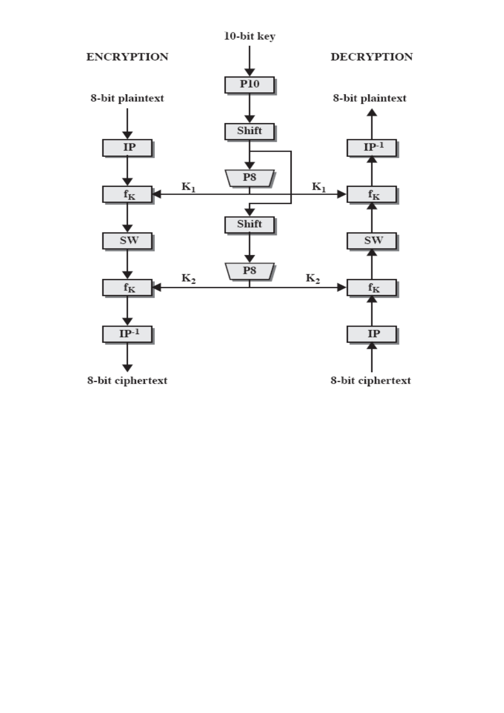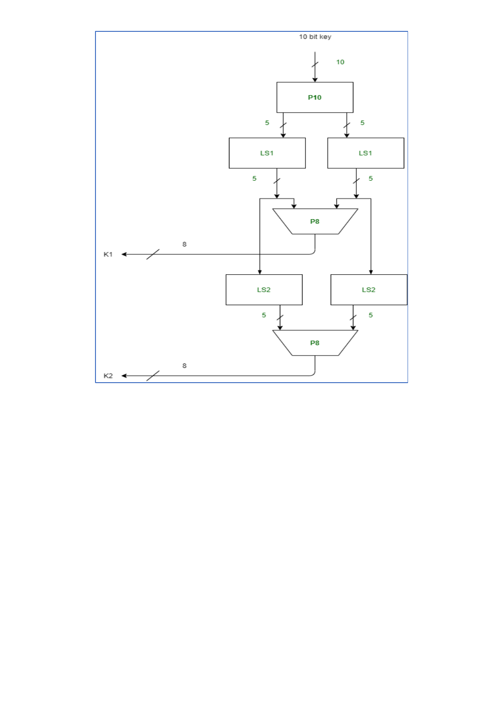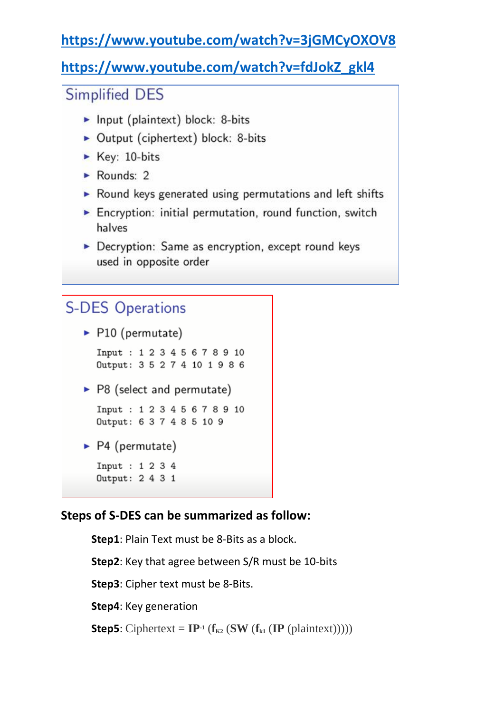### **<https://www.youtube.com/watch?v=3jGMCyOXOV8>**

### **[https://www.youtube.com/watch?v=fdJokZ\\_gkl4](https://www.youtube.com/watch?v=fdJokZ_gkl4)**

### **Simplified DES**

- Input (plaintext) block: 8-bits
- Output (ciphertext) block: 8-bits
- $\blacktriangleright$  Key: 10-bits
- $\blacktriangleright$  Rounds: 2
- Round keys generated using permutations and left shifts
- Encryption: initial permutation, round function, switch halves
- Decryption: Same as encryption, except round keys used in opposite order

### **S-DES Operations**

 $\blacktriangleright$  P10 (permutate)

Input: 12345678910 Output: 3 5 2 7 4 10 1 9 8 6

 $\triangleright$  P8 (select and permutate)

```
Input: 12345678910
Output: 637485109
```
 $\blacktriangleright$  P4 (permutate)

Input : 1 2 3 4

```
Output: 2 4 3 1
```
### **Steps of S-DES can be summarized as follow:**

**Step1**: Plain Text must be 8-Bits as a block. **Step2**: Key that agree between S/R must be 10-bits **Step3**: Cipher text must be 8-Bits. **Step4**: Key generation **Step5**: Ciphertext =  $\mathbf{IP}$ <sup>1</sup> ( $\mathbf{f}_{K2}$  (**SW** ( $\mathbf{f}_{K1}$  (**IP** (plaintext)))))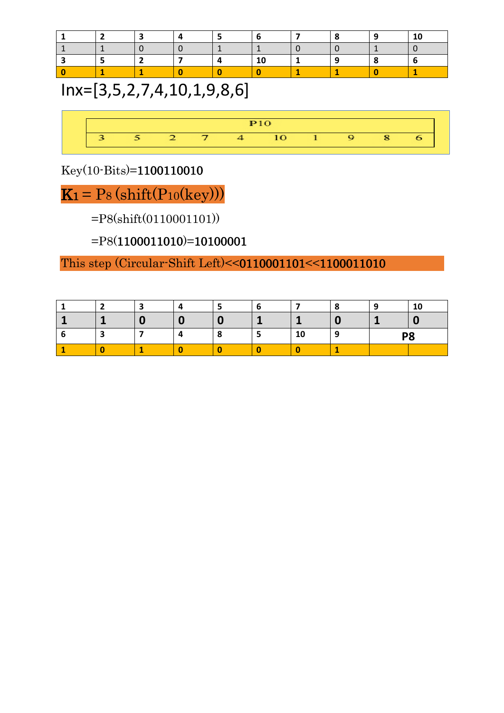## Inx=[3,5,2,7,4,10,1,9,8,6]



Key(10-Bits)=1100110010

 $K_1 = Ps$  (shift( $P_{10}$ (key)))

=P8(shift(0110001101))

=P8(1100011010)=10100001

This step (Circular-Shift Left)<<0110001101<<1100011010

| - |   |           | . .       |   | 10             |
|---|---|-----------|-----------|---|----------------|
|   |   |           |           |   |                |
| ∽ | 4 | $\bullet$ | 4 M<br>ΙU | ч | P <sub>8</sub> |
|   |   |           |           |   |                |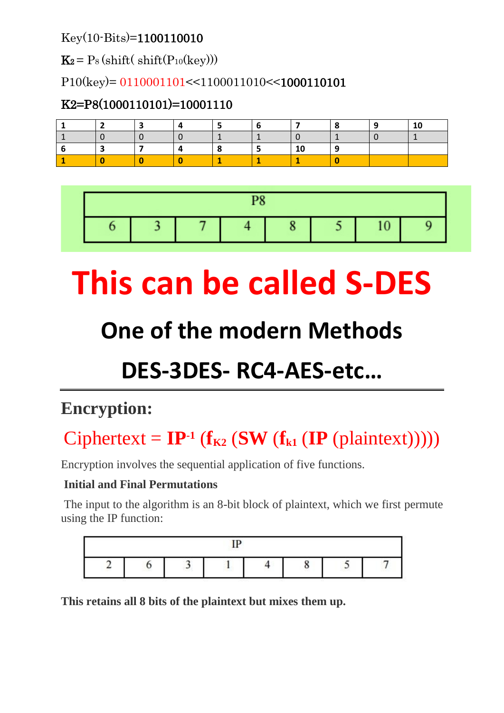Key(10-Bits)=1100110010

 $\mathbf{K}_2 = P_8 \left( \text{shift} \left( \text{Shift}(P_{10} \left( \text{key} \right) \right) \right)$ 

P10(key)= 0110001101<<1100011010<<1000110101

### K2=P8(1000110101)=10001110

|  |  |  | u |  |  |  |  |  |
|--|--|--|---|--|--|--|--|--|

# **This can be called S-DES**

# **One of the modern Methods**

# **DES-3DES- RC4-AES-etc…**

## **Encryption:**

# $Ciphertext = IP^{-1}$  ( $\mathbf{f}_{K2}$  ( $SW$  ( $\mathbf{f}_{K1}$  ( $IP$  (plaintext)))))

Encryption involves the sequential application of five functions.

### **Initial and Final Permutations**

The input to the algorithm is an 8-bit block of plaintext, which we first permute using the IP function:

|  | <b>SYSTEMS</b> |   |  |
|--|----------------|---|--|
|  |                | ພ |  |

**This retains all 8 bits of the plaintext but mixes them up.**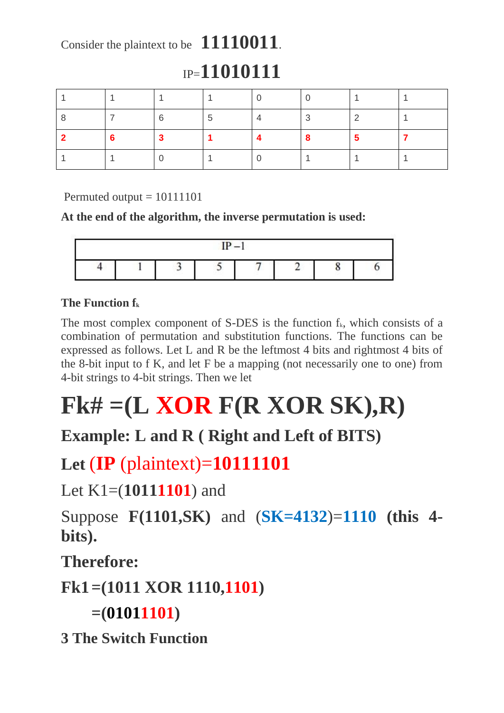## Consider the plaintext to be **11110011**.

## IP=**11010111**

|  | :5 |  |  |
|--|----|--|--|
|  |    |  |  |
|  |    |  |  |

Permuted output  $= 10111101$ 

### **At the end of the algorithm, the inverse permutation is used:**



### **The Function f<sup>k</sup>**

The most complex component of S-DES is the function  $f_k$ , which consists of a combination of permutation and substitution functions. The functions can be expressed as follows. Let L and R be the leftmost 4 bits and rightmost 4 bits of the 8-bit input to f K, and let F be a mapping (not necessarily one to one) from 4-bit strings to 4-bit strings. Then we let

# **Fk# =(L XOR F(R XOR SK),R)**

## **Example: L and R ( Right and Left of BITS)**

## **Let** (**IP** (plaintext)=**10111101**

Let K1=(**10111101**) and

Suppose **F(1101,SK)** and (**SK=4132**)=**1110 (this 4 bits).**

**Therefore:**

**Fk1=(1011 XOR 1110,1101)**

**=(01011101)**

**3 The Switch Function**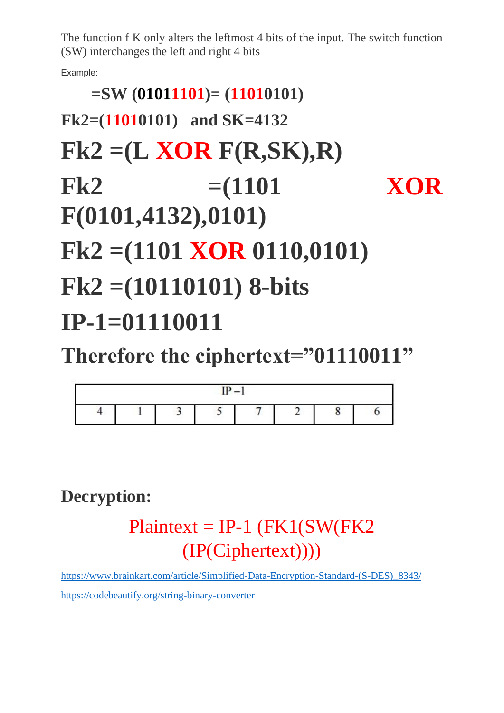The function f K only alters the leftmost 4 bits of the input. The switch function (SW) interchanges the left and right 4 bits

Example:

# **=SW (01011101)= (11010101) Fk2=(11010101) and SK=4132 Fk2 =(L XOR F(R,SK),R) Fk2 =(1101 XOR F(0101,4132),0101) Fk2 =(1101 XOR 0110,0101) Fk2 =(10110101) 8-bits IP-1=01110011**

**Therefore the ciphertext="01110011"**

|  | $\mathbf{m}$ | - |  |  |
|--|--------------|---|--|--|
|  |              |   |  |  |

**Decryption:**

 $Plaintext = IP-1$  (FK1(SW(FK2) (IP(Ciphertext))))

[https://www.brainkart.com/article/Simplified-Data-Encryption-Standard-\(S-DES\)\\_8343/](https://www.brainkart.com/article/Simplified-Data-Encryption-Standard-(S-DES)_8343/) <https://codebeautify.org/string-binary-converter>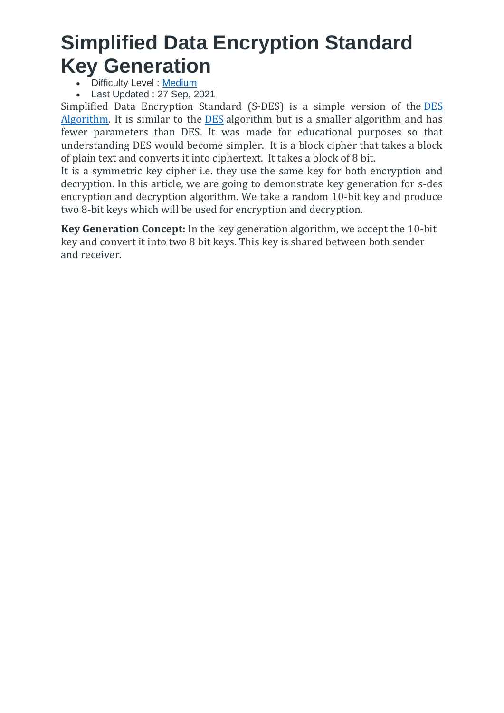## **Simplified Data Encryption Standard Key Generation**

- Difficulty Level : [Medium](https://www.geeksforgeeks.org/medium/)
- Last Updated : 27 Sep, 2021

Simplified Data Encryption Standard (S-DES) is a simple version of the [DES](https://www.geeksforgeeks.org/data-encryption-standard-des-set-1/) [Algorithm.](https://www.geeksforgeeks.org/data-encryption-standard-des-set-1/) It is similar to the [DES](https://www.geeksforgeeks.org/des-full-form/) algorithm but is a smaller algorithm and has fewer parameters than DES. It was made for educational purposes so that understanding DES would become simpler. It is a block cipher that takes a block of plain text and converts it into ciphertext. It takes a block of 8 bit.

It is a symmetric key cipher i.e. they use the same key for both encryption and decryption. In this article, we are going to demonstrate key generation for s-des encryption and decryption algorithm. We take a random 10-bit key and produce two 8-bit keys which will be used for encryption and decryption.

**Key Generation Concept:** In the key generation algorithm, we accept the 10-bit key and convert it into two 8 bit keys. This key is shared between both sender and receiver.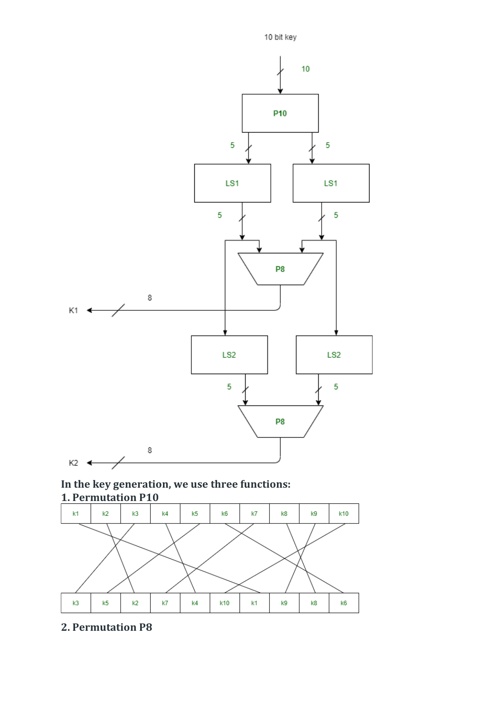

**In the key generation, we use three functions: 1. Permutation P10**



**2. Permutation P8**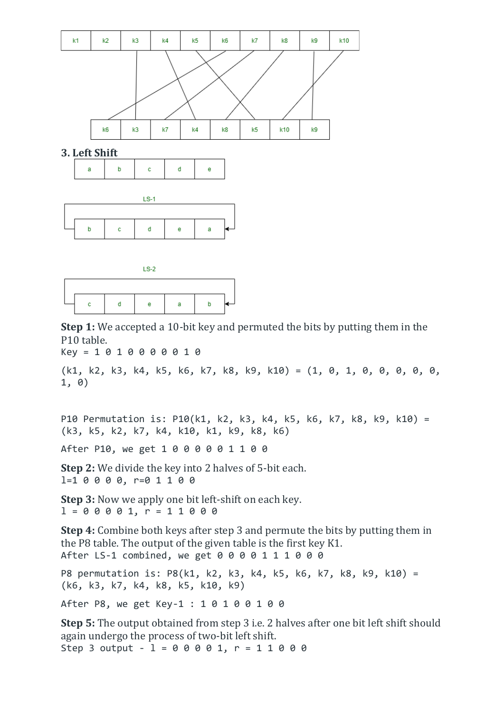





**Step 1:** We accepted a 10-bit key and permuted the bits by putting them in the P10 table.

Key = 1 0 1 0 0 0 0 0 1 0

(k1, k2, k3, k4, k5, k6, k7, k8, k9, k10) = (1, 0, 1, 0, 0, 0, 0, 0, 1, 0)

P10 Permutation is: P10(k1, k2, k3, k4, k5, k6, k7, k8, k9, k10) = (k3, k5, k2, k7, k4, k10, k1, k9, k8, k6)

After P10, we get 1 0 0 0 0 0 1 1 0 0

**Step 2:** We divide the key into 2 halves of 5-bit each. l=1 0 0 0 0, r=0 1 1 0 0

**Step 3:** Now we apply one bit left-shift on each key.  $1 = 0 0 0 0 1, r = 1 1 0 0 0$ 

**Step 4:** Combine both keys after step 3 and permute the bits by putting them in the P8 table. The output of the given table is the first key K1. After LS-1 combined, we get 0 0 0 0 1 1 1 0 0 0

P8 permutation is: P8(k1, k2, k3, k4, k5, k6, k7, k8, k9, k10) = (k6, k3, k7, k4, k8, k5, k10, k9)

After P8, we get Key-1 : 1 0 1 0 0 1 0 0

**Step 5:** The output obtained from step 3 i.e. 2 halves after one bit left shift should again undergo the process of two-bit left shift. Step 3 output -  $1 = 0 0 0 0 1$ ,  $r = 1 1 0 0 0$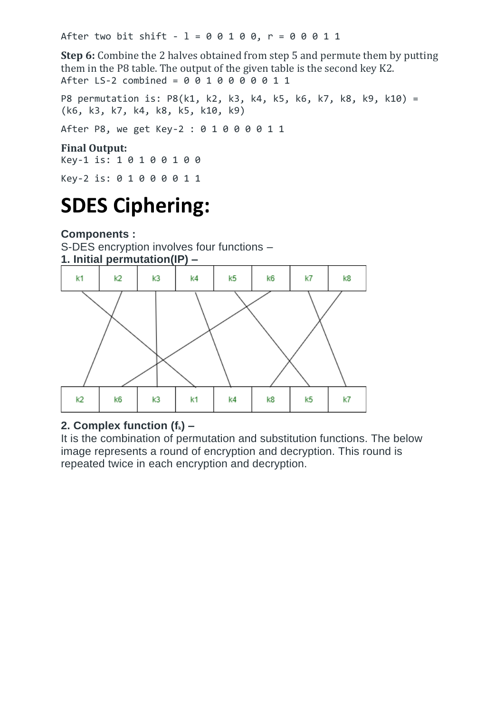After two bit shift -  $1 = 0 0 1 0 0$ ,  $r = 0 0 0 1 1$ 

**Step 6:** Combine the 2 halves obtained from step 5 and permute them by putting them in the P8 table. The output of the given table is the second key K2. After LS-2 combined =  $0\ 0\ 1\ 0\ 0\ 0\ 0\ 1\ 1$ 

P8 permutation is: P8(k1, k2, k3, k4, k5, k6, k7, k8, k9, k10) = (k6, k3, k7, k4, k8, k5, k10, k9) After P8, we get Key-2 : 0 1 0 0 0 0 1 1

### **Final Output:**

Key-1 is: 1 0 1 0 0 1 0 0

Key-2 is: 0 1 0 0 0 0 1 1

# **SDES Ciphering:**

**Components :**

S-DES encryption involves four functions – **1. Initial permutation(IP) –**



### **2. Complex function (fk) –**

It is the combination of permutation and substitution functions. The below image represents a round of encryption and decryption. This round is repeated twice in each encryption and decryption.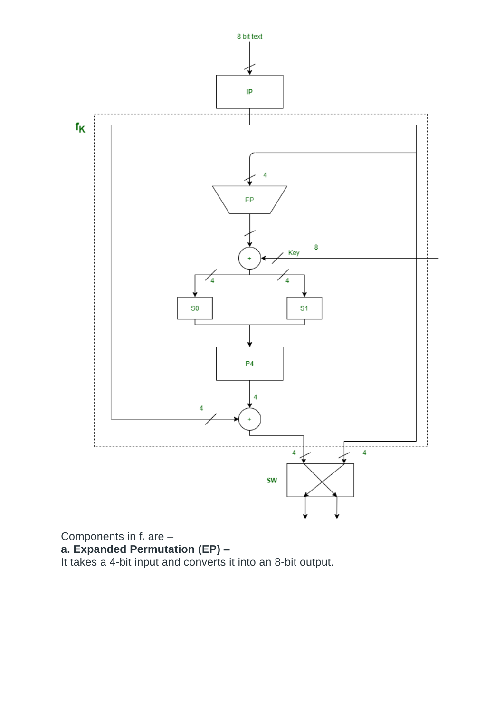

Components in  $f_k$  are  $$ **a. Expanded Permutation (EP) –** It takes a 4-bit input and converts it into an 8-bit output.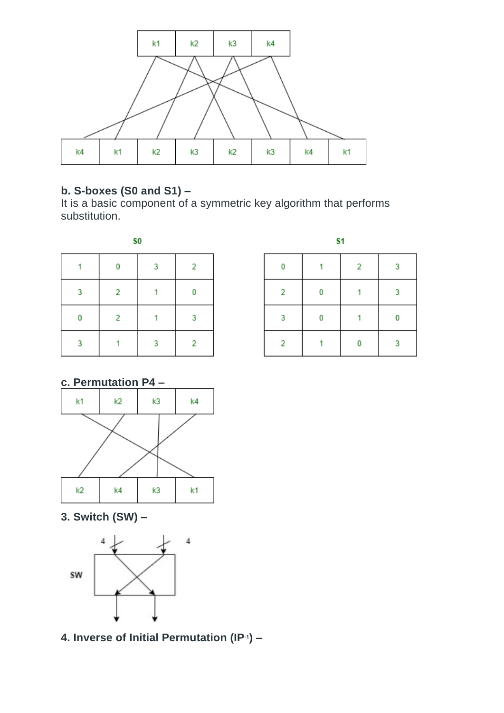

### **b. S-boxes (S0 and S1) –**

It is a basic component of a symmetric key algorithm that performs substitution.

| S <sub>0</sub> |   |   |   |  |  |  |  |  |
|----------------|---|---|---|--|--|--|--|--|
|                |   | 3 | 2 |  |  |  |  |  |
| -3             | 2 |   | 0 |  |  |  |  |  |
| 0              | 2 |   | 3 |  |  |  |  |  |
| 3              |   | 3 | 2 |  |  |  |  |  |

| S <sub>1</sub> |   |                |   |  |  |  |  |  |
|----------------|---|----------------|---|--|--|--|--|--|
| 0              |   | $\overline{2}$ | 3 |  |  |  |  |  |
| 2              | 0 |                | 3 |  |  |  |  |  |
| 3              | 0 |                | 0 |  |  |  |  |  |
| 2              |   | 0              | з |  |  |  |  |  |

### **c. Permutation P4 –**



**3. Switch (SW) –**



**4. Inverse of Initial Permutation (IP-1 ) –**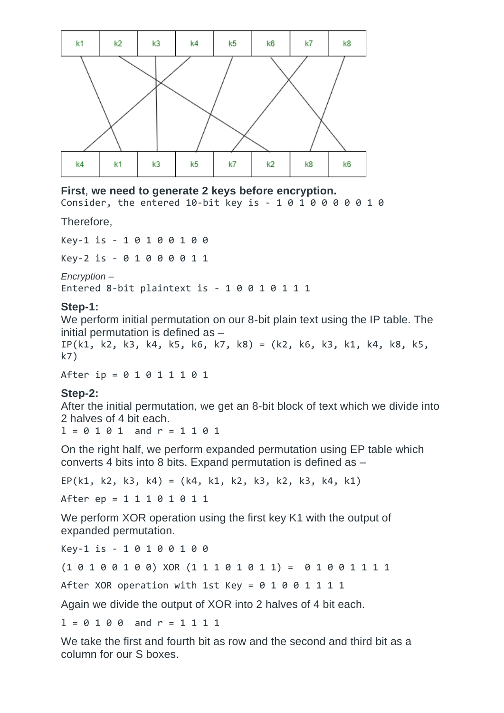

### **First**, **we need to generate 2 keys before encryption.**

Consider, the entered 10-bit key is - 1 0 1 0 0 0 0 0 1 0

Therefore,

Key-1 is - 1 0 1 0 0 1 0 0

Key-2 is - 0 1 0 0 0 0 1 1

*Encryption –*

Entered 8-bit plaintext is - 1 0 0 1 0 1 1 1

### **Step-1:**

We perform initial permutation on our 8-bit plain text using the IP table. The initial permutation is defined as –

IP(k1, k2, k3, k4, k5, k6, k7, k8) = (k2, k6, k3, k1, k4, k8, k5, k7)

After ip = 0 1 0 1 1 1 0 1

#### **Step-2:**

After the initial permutation, we get an 8-bit block of text which we divide into 2 halves of 4 bit each.

 $1 = 0 1 0 1$  and  $r = 1 1 0 1$ 

On the right half, we perform expanded permutation using EP table which converts 4 bits into 8 bits. Expand permutation is defined as –

 $EP(k1, k2, k3, k4) = (k4, k1, k2, k3, k2, k3, k4, k1)$ 

After ep = 1 1 1 0 1 0 1 1

We perform XOR operation using the first key K1 with the output of expanded permutation.

Key-1 is - 1 0 1 0 0 1 0 0

(1 0 1 0 0 1 0 0) XOR (1 1 1 0 1 0 1 1) = 0 1 0 0 1 1 1 1

After XOR operation with 1st Key =  $0$  1 0 0 1 1 1 1

Again we divide the output of XOR into 2 halves of 4 bit each.

 $1 = 0 1 0 0$  and  $r = 1 1 1 1$ 

We take the first and fourth bit as row and the second and third bit as a column for our S boxes.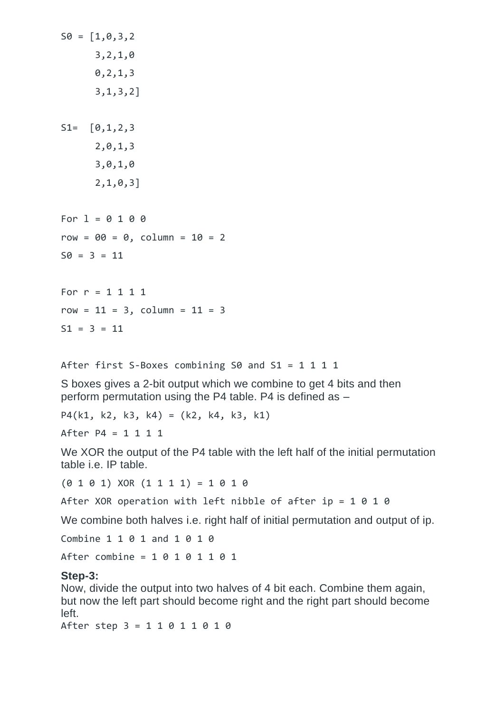$S0 = [1, 0, 3, 2]$  3,2,1,0 0,2,1,3 3,1,3,2]  $S1 = [0,1,2,3]$  2,0,1,3 3,0,1,0 2,1,0,3] For  $1 = 0 1 0 0$  $row = 00 = 0$ , column =  $10 = 2$  $S0 = 3 = 11$ For  $r = 1 1 1 1$  $row = 11 = 3$ , column =  $11 = 3$  $S1 = 3 = 11$ 

After first S-Boxes combining S0 and S1 = 1 1 1 1

S boxes gives a 2-bit output which we combine to get 4 bits and then perform permutation using the P4 table. P4 is defined as –

P4(k1, k2, k3, k4) = (k2, k4, k3, k1)

After P4 = 1 1 1 1

We XOR the output of the P4 table with the left half of the initial permutation table i.e. IP table.

 $(0 1 0 1)$  XOR  $(1 1 1 1) = 1 0 1 0$ 

After XOR operation with left nibble of after ip =  $1 \ 0 \ 1 \ 0$ 

We combine both halves i.e. right half of initial permutation and output of ip.

Combine 1 1 0 1 and 1 0 1 0

After combine = 1 0 1 0 1 1 0 1

#### **Step-3:**

Now, divide the output into two halves of 4 bit each. Combine them again, but now the left part should become right and the right part should become left.

After step 3 = 1 1 0 1 1 0 1 0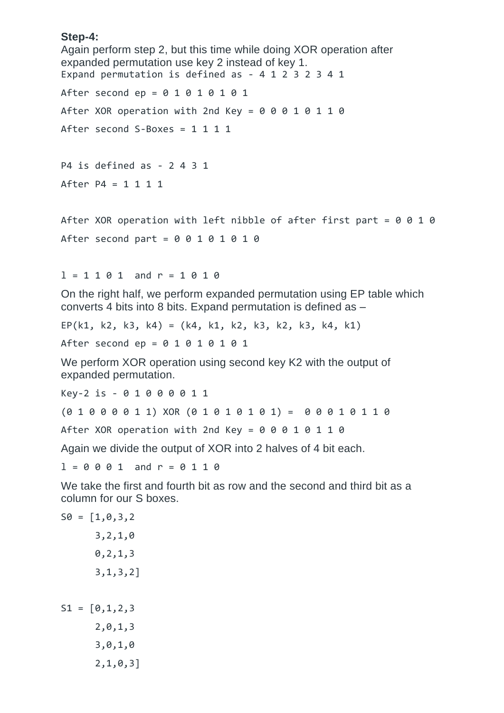#### **Step-4:**

```
Again perform step 2, but this time while doing XOR operation after 
expanded permutation use key 2 instead of key 1.
Expand permutation is defined as - 4 1 2 3 2 3 4 1
After second ep = 0 1 0 1 0 1 0 1After XOR operation with 2nd Key = 0 0 0 1 0 1 1 0After second S-Boxes = 1 1 1 1
P4 is defined as - 2 4 3 1
After P4 = 1 1 1 1
After XOR operation with left nibble of after first part = 0 0 1 0After second part = 0 0 1 0 1 0 1 01 = 1 1 0 1 and r = 1 0 1 0On the right half, we perform expanded permutation using EP table which 
converts 4 bits into 8 bits. Expand permutation is defined as –
EP(k1, k2, k3, k4) = (k4, k1, k2, k3, k2, k3, k4, k1)After second ep = 0 1 0 1 0 1 0 1We perform XOR operation using second key K2 with the output of 
expanded permutation.
Key-2 is - 0 1 0 0 0 0 1 1
(0 1 0 0 0 0 1 1) XOR (0 1 0 1 0 1 0 1) = 0 0 0 1 0 1 1 0
After XOR operation with 2nd Key = 0 0 0 1 0 1 1 0Again we divide the output of XOR into 2 halves of 4 bit each.
1 = 0001 and r = 0110We take the first and fourth bit as row and the second and third bit as a 
column for our S boxes.
S0 = [1, 0, 3, 2] 3,2,1,0
       0,2,1,3
```
 $S1 = [0,1,2,3]$  2,0,1,3 3,0,1,0 2,1,0,3]

3,1,3,2]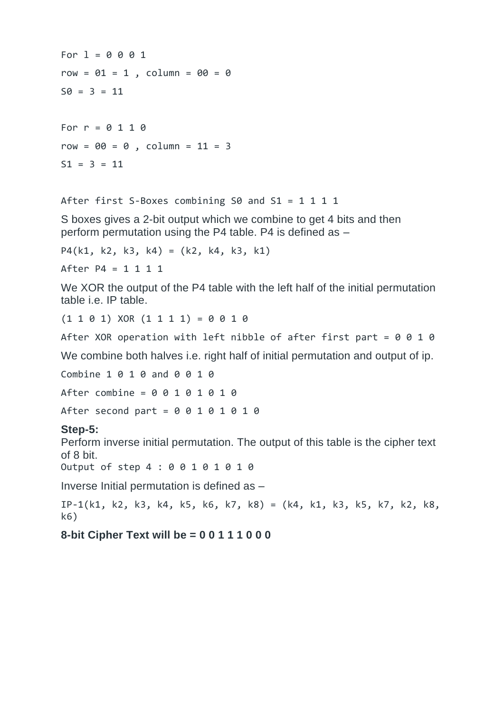For  $1 = 0 0 0 1$  $row = 01 = 1$ , column =  $00 = 0$  $S0 = 3 = 11$ For  $r = 0 1 1 0$  $row = 00 = 0$ , column =  $11 = 3$  $S1 = 3 = 11$ 

```
After first S-Boxes combining S0 and S1 = 1 1 1 1 1
```
S boxes gives a 2-bit output which we combine to get 4 bits and then perform permutation using the P4 table. P4 is defined as –

```
P4(k1, k2, k3, k4) = (k2, k4, k3, k1)
```
After P4 = 1 1 1 1

We XOR the output of the P4 table with the left half of the initial permutation table i.e. IP table.

 $(1 1 0 1)$  XOR  $(1 1 1 1) = 0 0 1 0$ 

After XOR operation with left nibble of after first part =  $0 0 1 0$ 

We combine both halves i.e. right half of initial permutation and output of ip.

Combine 1 0 1 0 and 0 0 1 0

After combine = 0 0 1 0 1 0 1 0

After second part =  $0 0 1 0 1 0 1 0$ 

#### **Step-5:**

Perform inverse initial permutation. The output of this table is the cipher text of 8 bit.

Output of step 4 : 0 0 1 0 1 0 1 0

Inverse Initial permutation is defined as –

IP-1(k1, k2, k3, k4, k5, k6, k7, k8) = (k4, k1, k3, k5, k7, k2, k8, k6)

### **8-bit Cipher Text will be = 0 0 1 1 1 0 0 0**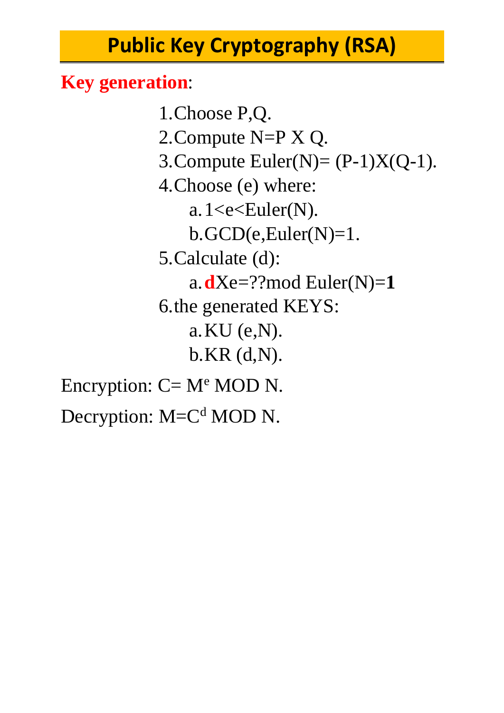# **Public Key Cryptography (RSA)**

## **Key generation**:

1.Choose P,Q. 2.Compute N=P X Q. 3. Compute Euler(N) =  $(P-1)X(Q-1)$ . 4.Choose (e) where: a.  $1 < e < Euler(N)$ .  $b. GCD(e, Euler(N)=1.$ 5.Calculate (d): a.  $dXe=$ ??mod Euler(N)=1 6.the generated KEYS: a.KU (e,N). b.KR (d,N). Encryption:  $C = M^e$  MOD N.

Decryption: M=C<sup>d</sup> MOD N.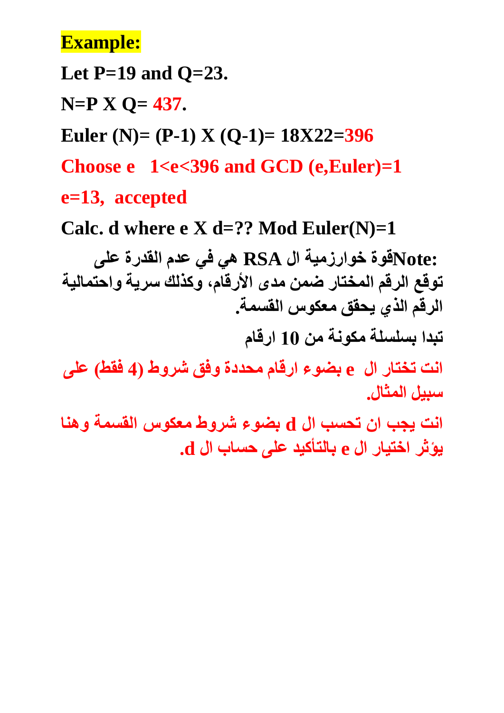## **Example:**

**Let P=19 and Q=23.**

**N=P X Q= 437.**

**Euler (N)= (P-1) X (Q-1)= 18X22=396**

**Choose e 1<e<396 and GCD (e,Euler)=1**

**e=13, accepted**

Calc. d where  $e$  **X** d=?? Mod Euler(N)=1

 **:Noteقوة خوارزمية ال RSA هي في عدم القدرة على توقع الرقم المختار ضمن مدى األرقام، وكذلك سرية واحتمالية الرقم الذي يحقق معكوس القسمة.**

**تبدا بسلسلة مكونة من 10 ارقام** 

**انت تختار ال e بضوء ارقام محددة وفق شروط ) 4 فقط( على سبيل المثال.** 

**انت يجب ان تحسب ال d بضوء شروط معكوس القسمة وهنا يؤثر اختيار ال e بالتأكيد على حساب ال d.**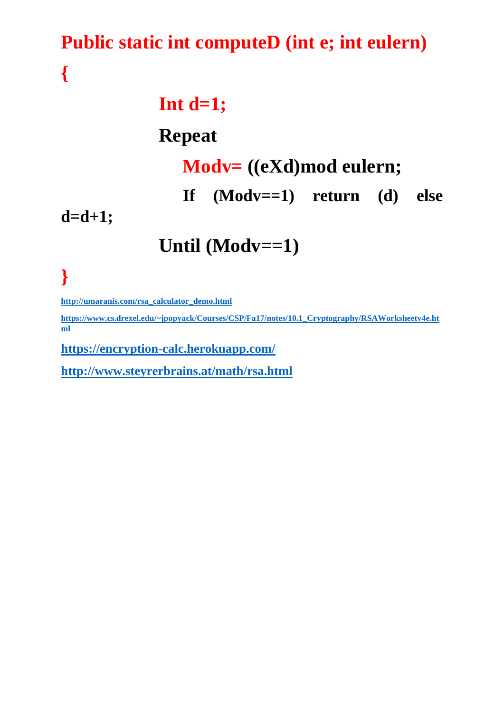## **Public static int computeD (int e; int eulern)**

**Int d=1;**

## **Repeat**

## **Modv= ((eXd)mod eulern;**

 **If (Modv==1) return (d) else** 

**d=d+1;**

**Until (Modv==1)**

**}** 

**{**

**[http://umaranis.com/rsa\\_calculator\\_demo.html](http://umaranis.com/rsa_calculator_demo.html)**

**[https://www.cs.drexel.edu/~jpopyack/Courses/CSP/Fa17/notes/10.1\\_Cryptography/RSAWorksheetv4e.ht](https://www.cs.drexel.edu/~jpopyack/Courses/CSP/Fa17/notes/10.1_Cryptography/RSAWorksheetv4e.html) [ml](https://www.cs.drexel.edu/~jpopyack/Courses/CSP/Fa17/notes/10.1_Cryptography/RSAWorksheetv4e.html)**

**<https://encryption-calc.herokuapp.com/>**

**<http://www.steyrerbrains.at/math/rsa.html>**